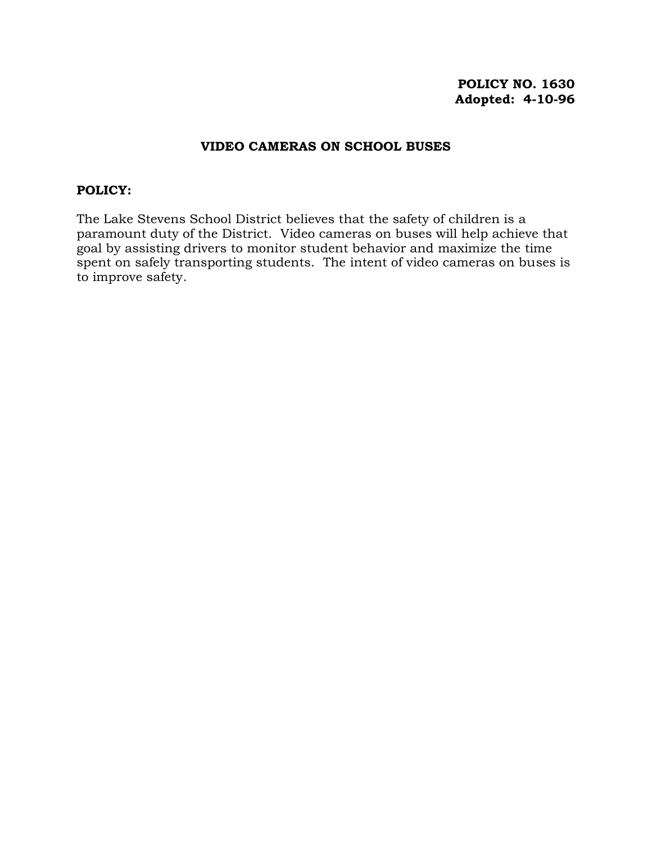# **POLICY NO. 1630 Adopted: 4-10-96**

# **VIDEO CAMERAS ON SCHOOL BUSES**

### **POLICY:**

The Lake Stevens School District believes that the safety of children is a paramount duty of the District. Video cameras on buses will help achieve that goal by assisting drivers to monitor student behavior and maximize the time spent on safely transporting students. The intent of video cameras on buses is to improve safety.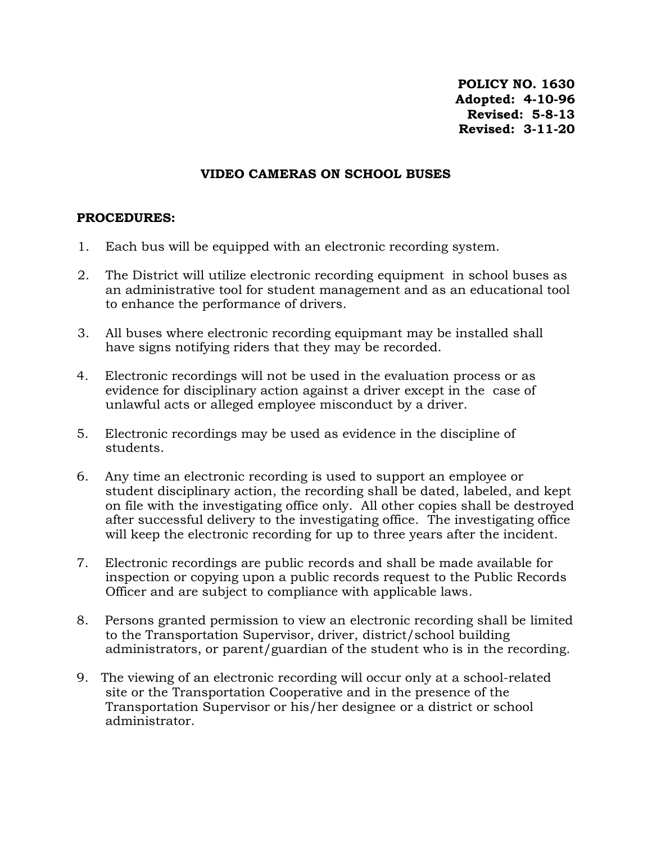**POLICY NO. 1630 Adopted: 4-10-96 Revised: 5-8-13 Revised: 3-11-20** 

## **VIDEO CAMERAS ON SCHOOL BUSES**

## **PROCEDURES:**

- 1. Each bus will be equipped with an electronic recording system.
- 2. The District will utilize electronic recording equipment in school buses as an administrative tool for student management and as an educational tool to enhance the performance of drivers.
- 3. All buses where electronic recording equipmant may be installed shall have signs notifying riders that they may be recorded.
- 4. Electronic recordings will not be used in the evaluation process or as evidence for disciplinary action against a driver except in the case of unlawful acts or alleged employee misconduct by a driver.
- 5. Electronic recordings may be used as evidence in the discipline of students.
- 6. Any time an electronic recording is used to support an employee or student disciplinary action, the recording shall be dated, labeled, and kept on file with the investigating office only. All other copies shall be destroyed after successful delivery to the investigating office. The investigating office will keep the electronic recording for up to three years after the incident.
- 7. Electronic recordings are public records and shall be made available for inspection or copying upon a public records request to the Public Records Officer and are subject to compliance with applicable laws.
- 8. Persons granted permission to view an electronic recording shall be limited to the Transportation Supervisor, driver, district/school building administrators, or parent/guardian of the student who is in the recording.
- 9. The viewing of an electronic recording will occur only at a school-related site or the Transportation Cooperative and in the presence of the Transportation Supervisor or his/her designee or a district or school administrator.